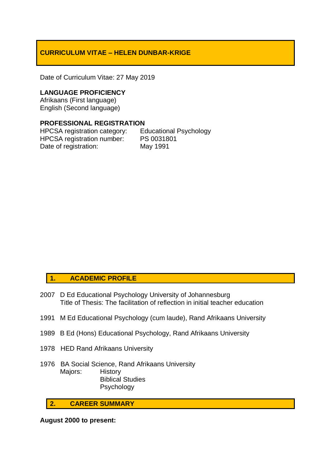# **CURRICULUM VITAE – HELEN DUNBAR-KRIGE**

Date of Curriculum Vitae: 27 May 2019

## **LANGUAGE PROFICIENCY**

Afrikaans (First language) English (Second language)

## **PROFESSIONAL REGISTRATION**

HPCSA registration category: Educational Psychology HPCSA registration number: PS 0031801 Date of registration: May 1991

## **1. ACADEMIC PROFILE**

- 2007 D Ed Educational Psychology University of Johannesburg Title of Thesis: The facilitation of reflection in initial teacher education
- 1991 M Ed Educational Psychology (cum laude), Rand Afrikaans University
- 1989 B Ed (Hons) Educational Psychology, Rand Afrikaans University
- 1978 HED Rand Afrikaans University
- 1976 BA Social Science, Rand Afrikaans University Majors: History Biblical Studies Psychology

## **2. CAREER SUMMARY**

**August 2000 to present:**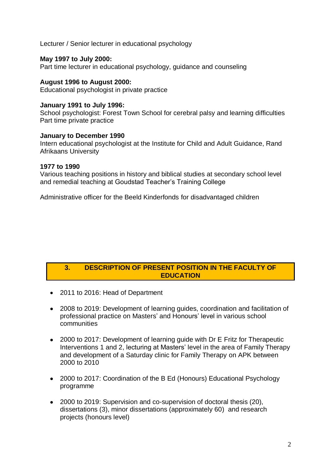## Lecturer / Senior lecturer in educational psychology

#### **May 1997 to July 2000:**

Part time lecturer in educational psychology, guidance and counseling

#### **August 1996 to August 2000:**

Educational psychologist in private practice

#### **January 1991 to July 1996:**

School psychologist: Forest Town School for cerebral palsy and learning difficulties Part time private practice

#### **January to December 1990**

Intern educational psychologist at the Institute for Child and Adult Guidance, Rand Afrikaans University

## **1977 to 1990**

Various teaching positions in history and biblical studies at secondary school level and remedial teaching at Goudstad Teacher's Training College

Administrative officer for the Beeld Kinderfonds for disadvantaged children

## **3. DESCRIPTION OF PRESENT POSITION IN THE FACULTY OF EDUCATION**

- 2011 to 2016: Head of Department
- 2008 to 2019: Development of learning guides, coordination and facilitation of professional practice on Masters' and Honours' level in various school communities
- 2000 to 2017: Development of learning quide with Dr E Fritz for Therapeutic Interventions 1 and 2, lecturing at Masters' level in the area of Family Therapy and development of a Saturday clinic for Family Therapy on APK between 2000 to 2010
- 2000 to 2017: Coordination of the B Ed (Honours) Educational Psychology programme
- 2000 to 2019: Supervision and co-supervision of doctoral thesis (20), dissertations (3), minor dissertations (approximately 60) and research projects (honours level)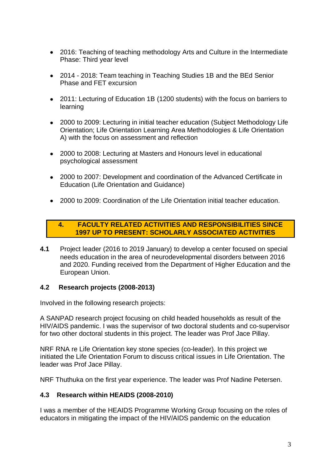- 2016: Teaching of teaching methodology Arts and Culture in the Intermediate Phase: Third year level
- 2014 2018: Team teaching in Teaching Studies 1B and the BEd Senior Phase and FET excursion
- 2011: Lecturing of Education 1B (1200 students) with the focus on barriers to learning
- 2000 to 2009: Lecturing in initial teacher education (Subject Methodology Life Orientation; Life Orientation Learning Area Methodologies & Life Orientation A) with the focus on assessment and reflection
- 2000 to 2008: Lecturing at Masters and Honours level in educational psychological assessment
- 2000 to 2007: Development and coordination of the Advanced Certificate in Education (Life Orientation and Guidance)
- 2000 to 2009: Coordination of the Life Orientation initial teacher education.

## **4. FACULTY RELATED ACTIVITIES AND RESPONSIBILITIES SINCE 1997 UP TO PRESENT: SCHOLARLY ASSOCIATED ACTIVITIES**

**4.1** Project leader (2016 to 2019 January) to develop a center focused on special needs education in the area of neurodevelopmental disorders between 2016 and 2020. Funding received from the Department of Higher Education and the European Union.

## **4.2 Research projects (2008-2013)**

Involved in the following research projects:

A SANPAD research project focusing on child headed households as result of the HIV/AIDS pandemic. I was the supervisor of two doctoral students and co-supervisor for two other doctoral students in this project. The leader was Prof Jace Pillay.

NRF RNA re Life Orientation key stone species (co-leader). In this project we initiated the Life Orientation Forum to discuss critical issues in Life Orientation. The leader was Prof Jace Pillay.

NRF Thuthuka on the first year experience. The leader was Prof Nadine Petersen.

# **4.3 Research within HEAIDS (2008-2010)**

I was a member of the HEAIDS Programme Working Group focusing on the roles of educators in mitigating the impact of the HIV/AIDS pandemic on the education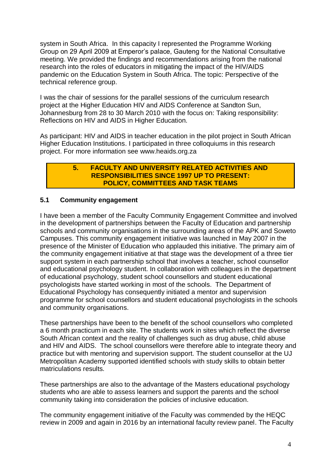system in South Africa. In this capacity I represented the Programme Working Group on 29 April 2009 at Emperor's palace, Gauteng for the National Consultative meeting. We provided the findings and recommendations arising from the national research into the roles of educators in mitigating the impact of the HIV/AIDS pandemic on the Education System in South Africa. The topic: Perspective of the technical reference group.

I was the chair of sessions for the parallel sessions of the curriculum research project at the Higher Education HIV and AIDS Conference at Sandton Sun, Johannesburg from 28 to 30 March 2010 with the focus on: Taking responsibility: Reflections on HIV and AIDS in Higher Education.

As participant: HIV and AIDS in teacher education in the pilot project in South African Higher Education Institutions. I participated in three colloquiums in this research project. For more information see www.heaids.org.za

## **5. FACULTY AND UNIVERSITY RELATED ACTIVITIES AND RESPONSIBILITIES SINCE 1997 UP TO PRESENT: POLICY, COMMITTEES AND TASK TEAMS**

# **5.1 Community engagement**

I have been a member of the Faculty Community Engagement Committee and involved in the development of partnerships between the Faculty of Education and partnership schools and community organisations in the surrounding areas of the APK and Soweto Campuses. This community engagement initiative was launched in May 2007 in the presence of the Minister of Education who applauded this initiative. The primary aim of the community engagement initiative at that stage was the development of a three tier support system in each partnership school that involves a teacher, school counsellor and educational psychology student. In collaboration with colleagues in the department of educational psychology, student school counsellors and student educational psychologists have started working in most of the schools. The Department of Educational Psychology has consequently initiated a mentor and supervision programme for school counsellors and student educational psychologists in the schools and community organisations.

These partnerships have been to the benefit of the school counsellors who completed a 6 month practicum in each site. The students work in sites which reflect the diverse South African context and the reality of challenges such as drug abuse, child abuse and HIV and AIDS. The school counsellors were therefore able to integrate theory and practice but with mentoring and supervision support. The student counsellor at the UJ Metropolitan Academy supported identified schools with study skills to obtain better matriculations results.

These partnerships are also to the advantage of the Masters educational psychology students who are able to assess learners and support the parents and the school community taking into consideration the policies of inclusive education.

The community engagement initiative of the Faculty was commended by the HEQC review in 2009 and again in 2016 by an international faculty review panel. The Faculty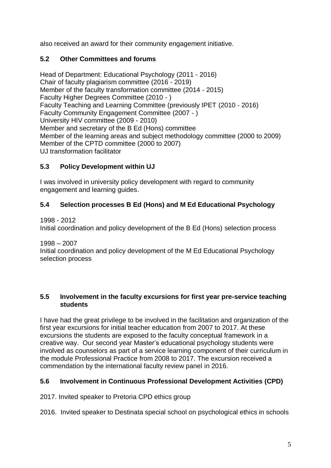also received an award for their community engagement initiative.

# **5.2 Other Committees and forums**

Head of Department: Educational Psychology (2011 - 2016) Chair of faculty plagiarism committee (2016 - 2019) Member of the faculty transformation committee (2014 - 2015) Faculty Higher Degrees Committee (2010 - ) Faculty Teaching and Learning Committee (previously IPET (2010 - 2016) Faculty Community Engagement Committee (2007 - ) University HIV committee (2009 - 2010) Member and secretary of the B Ed (Hons) committee Member of the learning areas and subject methodology committee (2000 to 2009) Member of the CPTD committee (2000 to 2007) UJ transformation facilitator

# **5.3 Policy Development within UJ**

I was involved in university policy development with regard to community engagement and learning guides.

# **5.4 Selection processes B Ed (Hons) and M Ed Educational Psychology**

# 1998 - 2012

Initial coordination and policy development of the B Ed (Hons) selection process

# 1998 – 2007

Initial coordination and policy development of the M Ed Educational Psychology selection process

# **5.5 Involvement in the faculty excursions for first year pre-service teaching students**

I have had the great privilege to be involved in the facilitation and organization of the first year excursions for initial teacher education from 2007 to 2017. At these excursions the students are exposed to the faculty conceptual framework in a creative way. Our second year Master's educational psychology students were involved as counselors as part of a service learning component of their curriculum in the module Professional Practice from 2008 to 2017. The excursion received a commendation by the international faculty review panel in 2016.

# **5.6 Involvement in Continuous Professional Development Activities (CPD)**

2017. Invited speaker to Pretoria CPD ethics group

2016. Invited speaker to Destinata special school on psychological ethics in schools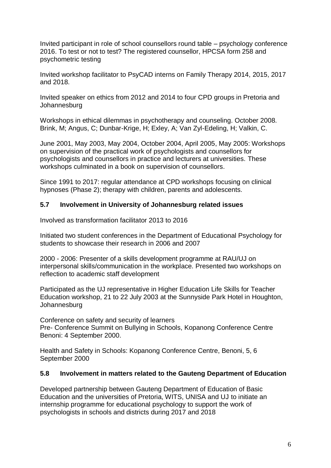Invited participant in role of school counsellors round table – psychology conference 2016. To test or not to test? The registered counsellor, HPCSA form 258 and psychometric testing

Invited workshop facilitator to PsyCAD interns on Family Therapy 2014, 2015, 2017 and 2018.

Invited speaker on ethics from 2012 and 2014 to four CPD groups in Pretoria and Johannesburg

Workshops in ethical dilemmas in psychotherapy and counseling. October 2008. Brink, M; Angus, C; Dunbar-Krige, H; Exley, A; Van Zyl-Edeling, H; Valkin, C.

June 2001, May 2003, May 2004, October 2004, April 2005, May 2005: Workshops on supervision of the practical work of psychologists and counsellors for psychologists and counsellors in practice and lecturers at universities. These workshops culminated in a book on supervision of counsellors.

Since 1991 to 2017: regular attendance at CPD workshops focusing on clinical hypnoses (Phase 2); therapy with children, parents and adolescents.

# **5.7 Involvement in University of Johannesburg related issues**

Involved as transformation facilitator 2013 to 2016

Initiated two student conferences in the Department of Educational Psychology for students to showcase their research in 2006 and 2007

2000 - 2006: Presenter of a skills development programme at RAU/UJ on interpersonal skills/communication in the workplace. Presented two workshops on reflection to academic staff development

Participated as the UJ representative in Higher Education Life Skills for Teacher Education workshop, 21 to 22 July 2003 at the Sunnyside Park Hotel in Houghton, Johannesburg

Conference on safety and security of learners Pre- Conference Summit on Bullying in Schools, Kopanong Conference Centre Benoni: 4 September 2000.

Health and Safety in Schools: Kopanong Conference Centre, Benoni, 5, 6 September 2000

## **5.8 Involvement in matters related to the Gauteng Department of Education**

Developed partnership between Gauteng Department of Education of Basic Education and the universities of Pretoria, WITS, UNISA and UJ to initiate an internship programme for educational psychology to support the work of psychologists in schools and districts during 2017 and 2018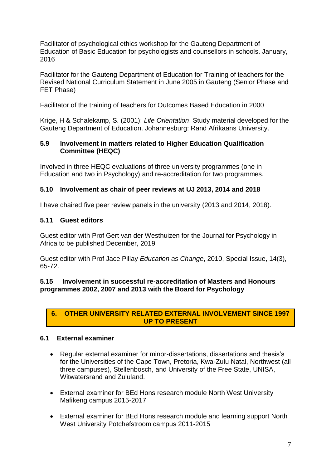Facilitator of psychological ethics workshop for the Gauteng Department of Education of Basic Education for psychologists and counsellors in schools. January, 2016

Facilitator for the Gauteng Department of Education for Training of teachers for the Revised National Curriculum Statement in June 2005 in Gauteng (Senior Phase and FET Phase)

Facilitator of the training of teachers for Outcomes Based Education in 2000

Krige, H & Schalekamp, S. (2001): *Life Orientation*. Study material developed for the Gauteng Department of Education. Johannesburg: Rand Afrikaans University.

## **5.9 Involvement in matters related to Higher Education Qualification Committee (HEQC)**

Involved in three HEQC evaluations of three university programmes (one in Education and two in Psychology) and re-accreditation for two programmes.

# **5.10 Involvement as chair of peer reviews at UJ 2013, 2014 and 2018**

I have chaired five peer review panels in the university (2013 and 2014, 2018).

## **5.11 Guest editors**

Guest editor with Prof Gert van der Westhuizen for the Journal for Psychology in Africa to be published December, 2019

Guest editor with Prof Jace Pillay *Education as Change*, 2010, Special Issue, 14(3), 65-72.

# **5.15 Involvement in successful re-accreditation of Masters and Honours programmes 2002, 2007 and 2013 with the Board for Psychology**

## **6. OTHER UNIVERSITY RELATED EXTERNAL INVOLVEMENT SINCE 1997 UP TO PRESENT**

## **6.1 External examiner**

- Regular external examiner for minor-dissertations, dissertations and thesis's for the Universities of the Cape Town, Pretoria, Kwa-Zulu Natal, Northwest (all three campuses), Stellenbosch, and University of the Free State, UNISA, Witwatersrand and Zululand.
- External examiner for BEd Hons research module North West University Mafikeng campus 2015-2017
- External examiner for BEd Hons research module and learning support North West University Potchefstroom campus 2011-2015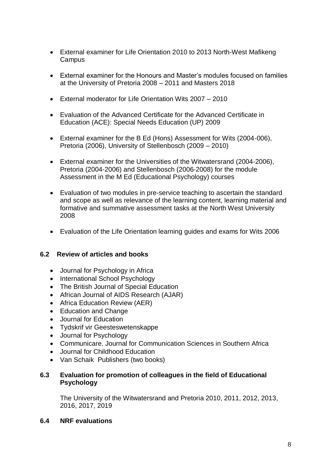- External examiner for Life Orientation 2010 to 2013 North-West Mafikeng **Campus**
- External examiner for the Honours and Master's modules focused on families at the University of Pretoria 2008 – 2011 and Masters 2018
- External moderator for Life Orientation Wits 2007 2010
- Evaluation of the Advanced Certificate for the Advanced Certificate in Education (ACE): Special Needs Education (UP) 2009
- External examiner for the B Ed (Hons) Assessment for Wits (2004-006), Pretoria (2006), University of Stellenbosch (2009 – 2010)
- External examiner for the Universities of the Witwatersrand (2004-2006), Pretoria (2004-2006) and Stellenbosch (2006-2008) for the module Assessment in the M Ed (Educational Psychology) courses
- Evaluation of two modules in pre-service teaching to ascertain the standard and scope as well as relevance of the learning content, learning material and formative and summative assessment tasks at the North West University 2008
- Evaluation of the Life Orientation learning guides and exams for Wits 2006

# **6.2 Review of articles and books**

- Journal for Psychology in Africa
- International School Psychology
- The British Journal of Special Education
- African Journal of AIDS Research (AJAR)
- Africa Education Review (AER)
- Education and Change
- Journal for Education
- Tydskrif vir Geesteswetenskappe
- Journal for Psychology
- Communicare. Journal for Communication Sciences in Southern Africa
- Journal for Childhood Education
- Van Schaik Publishers (two books)

## **6.3 Evaluation for promotion of colleagues in the field of Educational Psychology**

The University of the Witwatersrand and Pretoria 2010, 2011, 2012, 2013, 2016, 2017, 2019

## **6.4 NRF evaluations**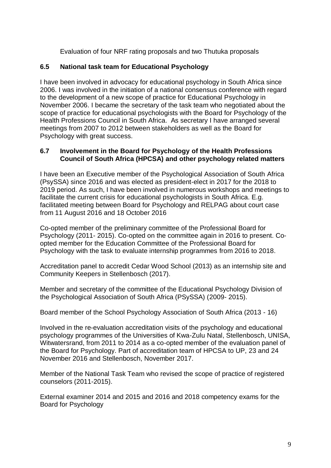Evaluation of four NRF rating proposals and two Thutuka proposals

# **6.5 National task team for Educational Psychology**

I have been involved in advocacy for educational psychology in South Africa since 2006. I was involved in the initiation of a national consensus conference with regard to the development of a new scope of practice for Educational Psychology in November 2006. I became the secretary of the task team who negotiated about the scope of practice for educational psychologists with the Board for Psychology of the Health Professions Council in South Africa. As secretary I have arranged several meetings from 2007 to 2012 between stakeholders as well as the Board for Psychology with great success.

## **6.7 Involvement in the Board for Psychology of the Health Professions Council of South Africa (HPCSA) and other psychology related matters**

I have been an Executive member of the Psychological Association of South Africa (PsySSA) since 2016 and was elected as president-elect in 2017 for the 2018 to 2019 period. As such, I have been involved in numerous workshops and meetings to facilitate the current crisis for educational psychologists in South Africa. E.g. facilitated meeting between Board for Psychology and RELPAG about court case from 11 August 2016 and 18 October 2016

Co-opted member of the preliminary committee of the Professional Board for Psychology (2011- 2015). Co-opted on the committee again in 2016 to present. Coopted member for the Education Committee of the Professional Board for Psychology with the task to evaluate internship programmes from 2016 to 2018.

Accreditation panel to accredit Cedar Wood School (2013) as an internship site and Community Keepers in Stellenbosch (2017).

Member and secretary of the committee of the Educational Psychology Division of the Psychological Association of South Africa (PSySSA) (2009- 2015).

Board member of the School Psychology Association of South Africa (2013 - 16)

Involved in the re-evaluation accreditation visits of the psychology and educational psychology programmes of the Universities of Kwa-Zulu Natal, Stellenbosch, UNISA, Witwatersrand, from 2011 to 2014 as a co-opted member of the evaluation panel of the Board for Psychology. Part of accreditation team of HPCSA to UP, 23 and 24 November 2016 and Stellenbosch, November 2017.

Member of the National Task Team who revised the scope of practice of registered counselors (2011-2015).

External examiner 2014 and 2015 and 2016 and 2018 competency exams for the Board for Psychology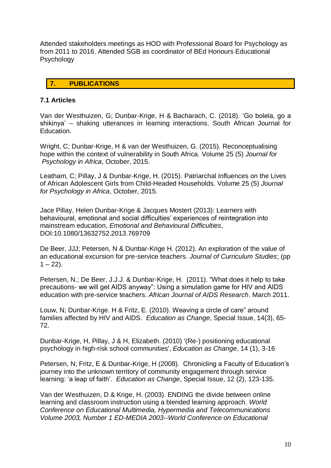Attended stakeholders meetings as HOD with Professional Board for Psychology as from 2011 to 2016. Attended SGB as coordinator of BEd Honours Educational **Psychology** 

## **7. PUBLICATIONS**

#### **7.1 Articles**

Van der Westhuizen, G; Dunbar-Krige, H & Bacharach, C. (2018). 'Go bolela, go a shikinya' – shaking utterances in learning interactions. South African Journal for Education.

Wright, C; Dunbar-Krige, H & van der Westhuizen, G. (2015). Reconceptualising hope within the context of vulnerability in South Africa. Volume 25 (5) *Journal for Psychology in Africa*, October, 2015.

Leatham, C; Pillay, J & Dunbar-Krige, H. (2015). Patriarchal Influences on the Lives of African Adolescent Girls from Child-Headed Households. Volume 25 (5) *Journal for Psychology in Africa*, October, 2015.

Jace Pillay, Helen Dunbar-Krige & Jacques Mostert (2013): Learners with behavioural, emotional and social difficulties' experiences of reintegration into mainstream education, *Emotional and Behavioural Difficulties*, DOI:10.1080/13632752.2013.769709

De Beer, JJJ; Petersen, N & Dunbar-Krige H. (2012). An exploration of the value of an educational excursion for pre-service teachers. *Journal of Curriculum Studies*; (pp  $1 - 22$ ).

Petersen, N.; De Beer, J.J.J. & Dunbar-Krige, H. (2011). "What does it help to take precautions- we will get AIDS anyway": Using a simulation game for HIV and AIDS education with pre-service teachers. *African Journal of AIDS Research*. March 2011.

Louw, N; Dunbar-Krige. H & Fritz, E. (2010). Weaving a circle of care" around families affected by HIV and AIDS. *Education as Change*, Special Issue, 14(3), 65- 72.

Dunbar-Krige, H, Pillay, J & H, Elizabeth. (2010) '(Re-) positioning educational psychology in high-risk school communities', *Education as Change*, 14 (1), 3-16

Petersen, N; Fritz, E & Dunbar-Krige, H (2008). Chronicling a Faculty of Education's journey into the unknown territory of community engagement through service learning: 'a leap of faith'. *Education as Change*, Special Issue, 12 (2), 123-135.

Van der Westhuizen, D & Krige, H. (2003). ENDING the divide between online learning and classroom instruction using a blended learning approach. *World Conference on Educational Multimedia, Hypermedia and Telecommunications Volume 2003, Number 1 ED-MEDIA 2003--World Conference on Educational*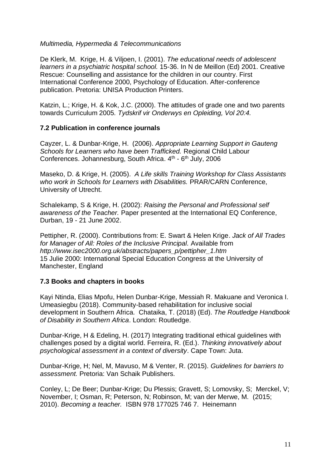## *Multimedia, Hypermedia & Telecommunications*

De Klerk, M. Krige, H. & Viljoen, I. (2001). *The educational needs of adolescent learners in a psychiatric hospital school.* 15-36. In N de Meillon (Ed) 2001. Creative Rescue: Counselling and assistance for the children in our country. First International Conference 2000, Psychology of Education. After-conference publication. Pretoria: UNISA Production Printers.

Katzin, L.; Krige, H. & Kok, J.C. (2000). The attitudes of grade one and two parents towards Curriculum 2005*. Tydskrif vir Onderwys en Opleiding, Vol 20:4.*

## **7.2 Publication in conference journals**

Cayzer, L. & Dunbar-Krige, H. (2006). *Appropriate Learning Support in Gauteng Schools for Learners who have been Trafficked.* Regional Child Labour Conferences. Johannesburg, South Africa. 4<sup>th</sup> - 6<sup>th</sup> July, 2006

Maseko, D. & Krige, H. (2005). *A Life skills Training Workshop for Class Assistants who work in Schools for Learners with Disabilities.* PRAR/CARN Conference, University of Utrecht.

Schalekamp, S & Krige, H. (2002): *Raising the Personal and Professional self awareness of the Teacher.* Paper presented at the International EQ Conference, Durban, 19 - 21 June 2002.

Pettipher, R. (2000). Contributions from: E. Swart & Helen Krige. *Jack of All Trades for Manager of All: Roles of the Inclusive Principal.* Available from *http://www.isec2000.org.uk/abstracts/papers\_p/pettipher\_1.htm* 15 Julie 2000: International Special Education Congress at the University of Manchester, England

## **7.3 Books and chapters in books**

Kayi Ntinda, Elias Mpofu, Helen Dunbar-Krige, Messiah R. Makuane and Veronica I. Umeasiegbu (2018). Community-based rehabilitation for inclusive social development in Southern Africa. Chataika, T. (2018) (Ed). *The Routledge Handbook of Disability in Southern Africa*. London: Routledge.

Dunbar-Krige, H & Edeling, H. (2017) Integrating traditional ethical guidelines with challenges posed by a digital world. Ferreira, R. (Ed.). *Thinking innovatively about psychological assessment in a context of diversity*. Cape Town: Juta.

Dunbar-Krige, H; Nel, M, Mavuso, M & Venter, R. (2015). *Guidelines for barriers to assessment.* Pretoria: Van Schaik Publishers.

Conley, L; De Beer; Dunbar-Krige; Du Plessis; Gravett, S; Lomovsky, S; Merckel, V; November, I; Osman, R; Peterson, N; Robinson, M; van der Merwe, M. (2015; 2010). *Becoming a teacher.* ISBN 978 177025 746 7. Heinemann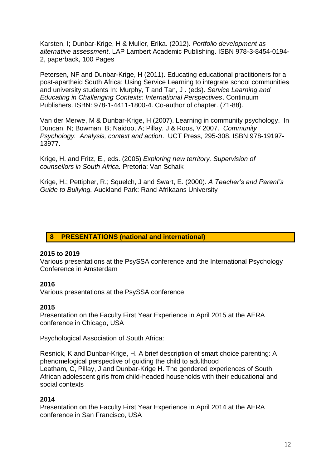Karsten, I; Dunbar-Krige, H & Muller, Erika. (2012). *Portfolio development as alternative assessment*. LAP Lambert Academic Publishing. ISBN 978-3-8454-0194- 2, paperback, 100 Pages

Petersen, NF and Dunbar-Krige, H (2011). Educating educational practitioners for a post-apartheid South Africa: Using Service Learning to integrate school communities and university students In: Murphy, T and Tan, J . (eds). *Service Learning and Educating in Challenging Contexts: International Perspectives*. Continuum Publishers. ISBN: 978-1-4411-1800-4. Co-author of chapter. (71-88).

Van der Merwe, M & Dunbar-Krige, H (2007). Learning in community psychology. In Duncan, N; Bowman, B; Naidoo, A; Pillay, J & Roos, V 2007. *Community Psychology. Analysis, context and action*. UCT Press, 295-308. ISBN 978-19197- 13977.

Krige, H. and Fritz, E., eds. (2005) *Exploring new territory. Supervision of counsellors in South Africa.* Pretoria: Van Schaik

Krige, H.; Pettipher, R.; Squelch, J and Swart, E. (2000). *A Teacher's and Parent's Guide to Bullying.* Auckland Park: Rand Afrikaans University

## **8 PRESENTATIONS (national and international)**

## **2015 to 2019**

Various presentations at the PsySSA conference and the International Psychology Conference in Amsterdam

## **2016**

Various presentations at the PsySSA conference

#### **2015**

Presentation on the Faculty First Year Experience in April 2015 at the AERA conference in Chicago, USA

Psychological Association of South Africa:

Resnick, K and Dunbar-Krige, H. A brief description of smart choice parenting: A phenomelogical perspective of guiding the child to adulthood Leatham, C, Pillay, J and Dunbar-Krige H. The gendered experiences of South African adolescent girls from child-headed households with their educational and social contexts

## **2014**

Presentation on the Faculty First Year Experience in April 2014 at the AERA conference in San Francisco, USA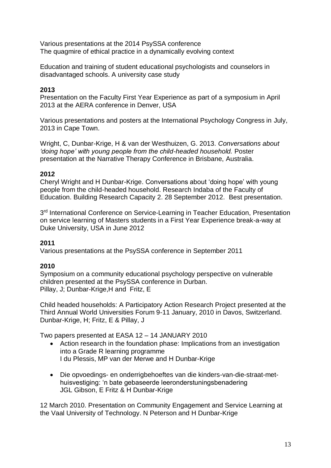Various presentations at the 2014 PsySSA conference The quagmire of ethical practice in a dynamically evolving context

Education and training of student educational psychologists and counselors in disadvantaged schools. A university case study

## **2013**

Presentation on the Faculty First Year Experience as part of a symposium in April 2013 at the AERA conference in Denver, USA

Various presentations and posters at the International Psychology Congress in July, 2013 in Cape Town.

Wright, C, Dunbar-Krige, H & van der Westhuizen, G. 2013. *Conversations about 'doing hope' with young people from the child-headed household.* Poster presentation at the Narrative Therapy Conference in Brisbane, Australia.

## **2012**

Cheryl Wright and H Dunbar-Krige. Conversations about 'doing hope' with young people from the child-headed household. Research Indaba of the Faculty of Education. Building Research Capacity 2. 28 September 2012. Best presentation.

3<sup>rd</sup> International Conference on Service-Learning in Teacher Education, Presentation on service learning of Masters students in a First Year Experience break-a-way at Duke University, USA in June 2012

# **2011**

Various presentations at the PsySSA conference in September 2011

## **2010**

Symposium on a community educational psychology perspective on vulnerable children presented at the PsySSA conference in Durban. Pillay, J; Dunbar-Krige,H and Fritz, E

Child headed households: A Participatory Action Research Project presented at the Third Annual World Universities Forum 9-11 January, 2010 in Davos, Switzerland. Dunbar-Krige, H; Fritz, E & Pillay, J

Two papers presented at EASA 12 – 14 JANUARY 2010

- Action research in the foundation phase: Implications from an investigation into a Grade R learning programme I du Plessis, MP van der Merwe and H Dunbar-Krige
- Die opvoedings- en onderrigbehoeftes van die kinders-van-die-straat-methuisvestiging: 'n bate gebaseerde leeronderstuningsbenadering JGL Gibson, E Fritz & H Dunbar-Krige

12 March 2010. Presentation on Community Engagement and Service Learning at the Vaal University of Technology. N Peterson and H Dunbar-Krige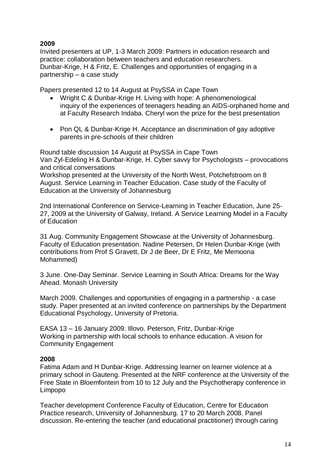# **2009**

Invited presenters at UP, 1-3 March 2009: Partners in education research and practice: collaboration between teachers and education researchers. Dunbar-Krige, H & Fritz, E. Challenges and opportunities of engaging in a partnership – a case study

Papers presented 12 to 14 August at PsySSA in Cape Town

- Wright C & Dunbar-Krige H. Living with hope: A phenomenological inquiry of the experiences of teenagers heading an AIDS-orphaned home and at Faculty Research Indaba. Cheryl won the prize for the best presentation
- Pon QL & Dunbar-Krige H. Acceptance an discrimination of gay adoptive parents in pre-schools of their children

Round table discussion 14 August at PsySSA in Cape Town Van Zyl-Edeling H & Dunbar-Krige, H. Cyber savvy for Psychologists – provocations and critical conversations Workshop presented at the University of the North West, Potchefstroom on 8

August. Service Learning in Teacher Education. Case study of the Faculty of Education at the University of Johannesburg

2nd International Conference on Service-Learning in Teacher Education, June 25- 27, 2009 at the University of Galway, Ireland. A Service Learning Model in a Faculty of Education

31 Aug. Community Engagement Showcase at the University of Johannesburg. Faculty of Education presentation. Nadine Petersen, Dr Helen Dunbar-Krige (with contributions from Prof S Gravett, Dr J de Beer, Dr E Fritz, Me Memoona Mohammed)

3 June. One-Day Seminar. Service Learning in South Africa: Dreams for the Way Ahead. Monash University

March 2009. Challenges and opportunities of engaging in a partnership - a case study. Paper presented at an invited conference on partnerships by the Department Educational Psychology, University of Pretoria.

EASA 13 – 16 January 2009. Illovo. Peterson, Fritz, Dunbar-Krige Working in partnership with local schools to enhance education. A vision for Community Engagement

# **2008**

Fatima Adam and H Dunbar-Krige. Addressing learner on learner violence at a primary school in Gauteng. Presented at the NRF conference at the University of the Free State in Bloemfontein from 10 to 12 July and the Psychotherapy conference in Limpopo

Teacher development Conference Faculty of Education, Centre for Education Practice research, University of Johannesburg. 17 to 20 March 2008. Panel discussion. Re-entering the teacher (and educational practitioner) through caring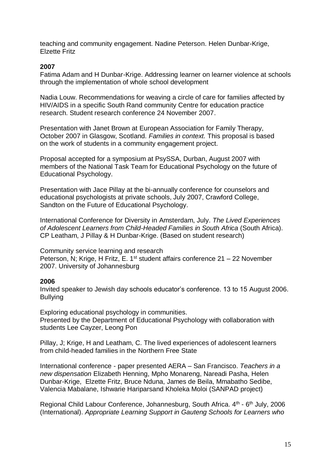teaching and community engagement. Nadine Peterson. Helen Dunbar-Krige, Elzette Fritz

#### **2007**

Fatima Adam and H Dunbar-Krige. Addressing learner on learner violence at schools through the implementation of whole school development

Nadia Louw. Recommendations for weaving a circle of care for families affected by HIV/AIDS in a specific South Rand community Centre for education practice research. Student research conference 24 November 2007.

Presentation with Janet Brown at European Association for Family Therapy, October 2007 in Glasgow, Scotland. *Families in context.* This proposal is based on the work of students in a community engagement project.

Proposal accepted for a symposium at PsySSA, Durban, August 2007 with members of the National Task Team for Educational Psychology on the future of Educational Psychology.

Presentation with Jace Pillay at the bi-annually conference for counselors and educational psychologists at private schools, July 2007, Crawford College, Sandton on the Future of Educational Psychology.

International Conference for Diversity in Amsterdam, July. *The Lived Experiences of Adolescent Learners from Child-Headed Families in South Africa* (South Africa). CP Leatham, J Pillay & H Dunbar-Krige. (Based on student research)

Community service learning and research Peterson, N; Krige, H Fritz, E, 1<sup>st</sup> student affairs conference 21 – 22 November 2007. University of Johannesburg

## **2006**

Invited speaker to Jewish day schools educator's conference. 13 to 15 August 2006. Bullying

Exploring educational psychology in communities. Presented by the Department of Educational Psychology with collaboration with students Lee Cayzer, Leong Pon

Pillay, J; Krige, H and Leatham, C. The lived experiences of adolescent learners from child-headed families in the Northern Free State

International conference - paper presented AERA – San Francisco. *Teachers in a new dispensation* Elizabeth Henning, Mpho Monareng, Nareadi Pasha, Helen Dunbar-Krige, Elzette Fritz, Bruce Nduna, James de Beila, Mmabatho Sedibe, Valencia Mabalane, Ishwarie Hariparsand Kholeka Moloi (SANPAD project)

Regional Child Labour Conference, Johannesburg, South Africa. 4<sup>th</sup> - 6<sup>th</sup> July, 2006 (International). *Appropriate Learning Support in Gauteng Schools for Learners who*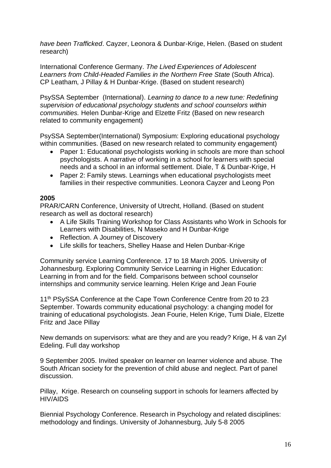*have been Trafficked*. Cayzer, Leonora & Dunbar-Krige, Helen. (Based on student research)

International Conference Germany. *The Lived Experiences of Adolescent Learners from Child-Headed Families in the Northern Free State* (South Africa). CP Leatham, J Pillay & H Dunbar-Krige. (Based on student research)

PsySSA September (International). *Learning to dance to a new tune: Redefining supervision of educational psychology students and school counselors within communities.* Helen Dunbar-Krige and Elzette Fritz (Based on new research related to community engagement)

PsySSA September(International) Symposium: Exploring educational psychology within communities. (Based on new research related to community engagement)

- Paper 1: Educational psychologists working in schools are more than school psychologists. A narrative of working in a school for learners with special needs and a school in an informal settlement. Diale, T & Dunbar-Krige, H
- Paper 2: Family stews. Learnings when educational psychologists meet families in their respective communities. Leonora Cayzer and Leong Pon

## **2005**

PRAR/CARN Conference, University of Utrecht, Holland. (Based on student research as well as doctoral research)

- A Life Skills Training Workshop for Class Assistants who Work in Schools for Learners with Disabilities, N Maseko and H Dunbar-Krige
- Reflection. A Journey of Discovery
- Life skills for teachers, Shelley Haase and Helen Dunbar-Krige

Community service Learning Conference. 17 to 18 March 2005. University of Johannesburg. Exploring Community Service Learning in Higher Education: Learning in from and for the field. Comparisons between school counselor internships and community service learning. Helen Krige and Jean Fourie

11<sup>th</sup> PSySSA Conference at the Cape Town Conference Centre from 20 to 23 September. Towards community educational psychology: a changing model for training of educational psychologists. Jean Fourie, Helen Krige, Tumi Diale, Elzette Fritz and Jace Pillay

New demands on supervisors: what are they and are you ready? Krige, H & van Zyl Edeling. Full day workshop

9 September 2005. Invited speaker on learner on learner violence and abuse. The South African society for the prevention of child abuse and neglect. Part of panel discussion.

Pillay, Krige. Research on counseling support in schools for learners affected by HIV/AIDS

Biennial Psychology Conference. Research in Psychology and related disciplines: methodology and findings. University of Johannesburg, July 5-8 2005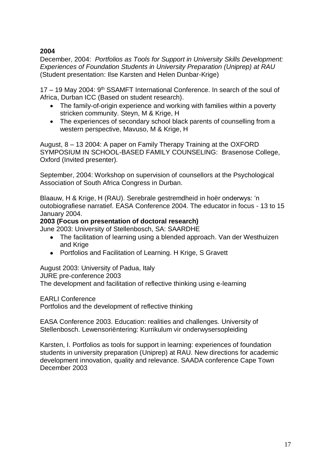# **2004**

December, 2004: *Portfolios as Tools for Support in University Skills Development: Experiences of Foundation Students in University Preparation (Uniprep) at RAU*  (Student presentation: Ilse Karsten and Helen Dunbar-Krige)

17 - 19 May 2004: 9<sup>th</sup> SSAMFT International Conference. In search of the soul of Africa, Durban ICC (Based on student research).

- The family-of-origin experience and working with families within a poverty stricken community. Steyn, M & Krige, H
- The experiences of secondary school black parents of counselling from a western perspective, Mavuso, M & Krige, H

August, 8 – 13 2004: A paper on Family Therapy Training at the OXFORD SYMPOSIUM IN SCHOOL-BASED FAMILY COUNSELING: Brasenose College, Oxford (Invited presenter).

September, 2004: Workshop on supervision of counsellors at the Psychological Association of South Africa Congress in Durban.

Blaauw, H & Krige, H (RAU). Serebrale gestremdheid in hoër onderwys: 'n outobiografiese narratief. EASA Conference 2004. The educator in focus - 13 to 15 January 2004.

## **2003 (Focus on presentation of doctoral research)**

June 2003: University of Stellenbosch, SA: SAARDHE

- The facilitation of learning using a blended approach. Van der Westhuizen and Krige
- Portfolios and Facilitation of Learning. H Krige, S Gravett

August 2003: University of Padua, Italy

JURE pre-conference 2003

The development and facilitation of reflective thinking using e-learning

EARLI Conference

Portfolios and the development of reflective thinking

EASA Conference 2003. Education: realities and challenges. University of Stellenbosch. Lewensoriëntering: Kurrikulum vir onderwysersopleiding

Karsten, I. Portfolios as tools for support in learning: experiences of foundation students in university preparation (Uniprep) at RAU. New directions for academic development innovation, quality and relevance. SAADA conference Cape Town December 2003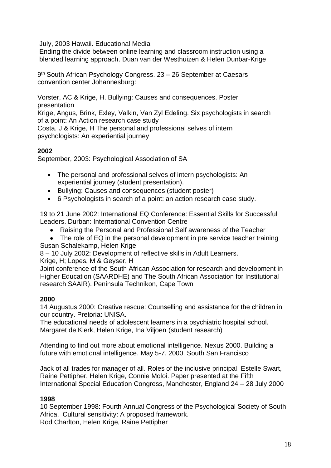July, 2003 Hawaii. Educational Media

Ending the divide between online learning and classroom instruction using a blended learning approach. Duan van der Westhuizen & Helen Dunbar-Krige

9<sup>th</sup> South African Psychology Congress. 23 – 26 September at Caesars convention center Johannesburg:

Vorster, AC & Krige, H. Bullying: Causes and consequences. Poster presentation

Krige, Angus, Brink, Exley, Valkin, Van Zyl Edeling. Six psychologists in search of a point: An Action research case study

Costa, J & Krige, H The personal and professional selves of intern psychologists: An experiential journey

# **2002**

September, 2003: Psychological Association of SA

- The personal and professional selves of intern psychologists: An experiential journey (student presentation).
- Bullying: Causes and consequences (student poster)
- 6 Psychologists in search of a point: an action research case study.

19 to 21 June 2002: International EQ Conference: Essential Skills for Successful Leaders. Durban: International Convention Centre

- Raising the Personal and Professional Self awareness of the Teacher
- The role of EQ in the personal development in pre service teacher training Susan Schalekamp, Helen Krige

8 – 10 July 2002: Development of reflective skills in Adult Learners.

Krige, H; Lopes, M & Geyser, H

Joint conference of the South African Association for research and development in Higher Education (SAARDHE) and The South African Association for Institutional research SAAIR). Peninsula Technikon, Cape Town

# **2000**

14 Augustus 2000: Creative rescue: Counselling and assistance for the children in our country. Pretoria: UNISA.

The educational needs of adolescent learners in a psychiatric hospital school. Margaret de Klerk, Helen Krige, Ina Viljoen (student research)

Attending to find out more about emotional intelligence. Nexus 2000. Building a future with emotional intelligence. May 5-7, 2000. South San Francisco

Jack of all trades for manager of all. Roles of the inclusive principal. Estelle Swart, Raine Pettipher, Helen Krige, Connie Moloi. Paper presented at the Fifth International Special Education Congress, Manchester, England 24 – 28 July 2000

## **1998**

10 September 1998: Fourth Annual Congress of the Psychological Society of South Africa. Cultural sensitivity: A proposed framework. Rod Charlton, Helen Krige, Raine Pettipher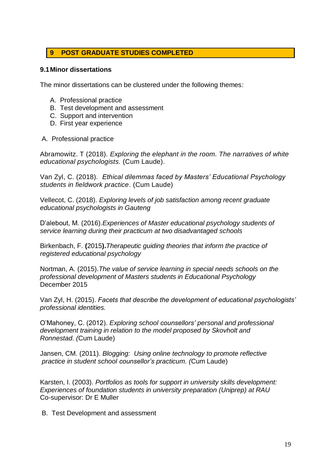# **9 POST GRADUATE STUDIES COMPLETED**

#### **9.1Minor dissertations**

The minor dissertations can be clustered under the following themes:

- A. Professional practice
- B. Test development and assessment
- C. Support and intervention
- D. First year experience
- A. Professional practice

Abramowitz. T (2018). *Exploring the elephant in the room. The narratives of white educational psychologists.* (Cum Laude).

Van Zyl, C. (2018). *Ethical dilemmas faced by Masters' Educational Psychology students in fieldwork practice*. (Cum Laude)

Vellecot, C. (2018). *Exploring levels of job satisfaction among recent graduate educational psychologists in Gauteng*

D'alebout, M. (2016).*Experiences of Master educational psychology students of service learning during their practicum at two disadvantaged schools* 

Birkenbach, F. **(**2015**).***Therapeutic guiding theories that inform the practice of registered educational psychology*

Nortman, A. (2015).*The value of service learning in special needs schools on the professional development of Masters students in Educational Psychology* December 2015

Van Zyl, H. (2015). *Facets that describe the development of educational psychologists' professional identities.*

O'Mahoney, C. (2012). *Exploring school counsellors' personal and professional development training in relation to the model proposed by Skovholt and Ronnestad. (*Cum Laude)

Jansen, CM. (2011). *Blogging: Using online technology to promote reflective practice in student school counsellor's practicum. (*Cum Laude)

Karsten, I. (2003). *Portfolios as tools for support in university skills development: Experiences of foundation students in university preparation (Uniprep) at RAU*  Co-supervisor: Dr E Muller

B. Test Development and assessment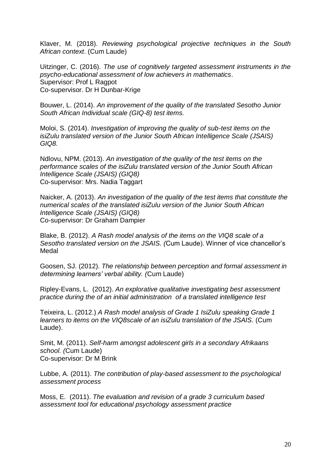Klaver, M. (2018). *Reviewing psychological projective techniques in the South African context*. (Cum Laude)

Uitzinger, C. (2016). *The use of cognitively targeted assessment instruments in the psycho-educational assessment of low achievers in mathematics*. Supervisor: Prof L Ragpot Co-supervisor. Dr H Dunbar-Krige

Bouwer, L. (2014). *An improvement of the quality of the translated Sesotho Junior South African Individual scale (GIQ-8) test items.*

Moloi, S. (2014). *Investigation of improving the quality of sub-test items on the isiZulu translated version of the Junior South African Intelligence Scale (JSAIS) GIQ8.*

Ndlovu, NPM. (2013). *An investigation of the quality of the test items on the performance scales of the isiZulu translated version of the Junior South African Intelligence Scale (JSAIS) (GIQ8)* Co-supervisor: Mrs. Nadia Taggart

Naicker, A. (2013). *An investigation of the quality of the test items that constitute the numerical scales of the translated isiZulu version of the Junior South African Intelligence Scale (JSAIS) (GIQ8)* Co-supervisor: Dr Graham Dampier

Blake, B. (2012). *A Rash model analysis of the items on the VIQ8 scale of a Sesotho translated version on the JSAIS. (*Cum Laude). Winner of vice chancellor's Medal

Goosen, SJ. (2012). *The relationship between perception and formal assessment in determining learners' verbal ability. (*Cum Laude)

Ripley-Evans, L. (2012). *An explorative qualitative investigating best assessment practice during the of an initial administration of a translated intelligence test*

Teixeira, L. (2012.) *A Rash model analysis of Grade 1 IsiZulu speaking Grade 1 learners to items on the VIQ8scale of an isiZulu translation of the JSAIS*. (Cum Laude).

Smit, M. (2011). *Self-harm amongst adolescent girls in a secondary Afrikaans school. (*Cum Laude) Co-supervisor: Dr M Brink

Lubbe, A. (2011). *The contribution of play-based assessment to the psychological assessment process*

Moss, E. (2011). *The evaluation and revision of a grade 3 curriculum based assessment tool for educational psychology assessment practice*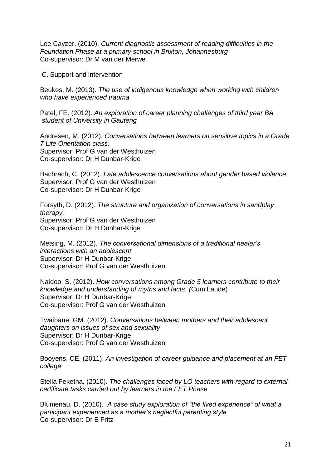Lee Cayzer. (2010). *Current diagnostic assessment of reading difficulties in the Foundation Phase at a primary school in Brixton, Johannesburg* Co-supervisor: Dr M van der Merwe

C. Support and intervention

Beukes, M. (2013). *The use of indigenous knowledge when working with children who have experienced trauma*

Patel, FE. (2012). *An exploration of career planning challenges of third year BA student of University in Gauteng*

Andresen, M. (2012). *Conversations between learners on sensitive topics in a Grade 7 Life Orientation class.*  Supervisor: Prof G van der Westhuizen Co-supervisor: Dr H Dunbar-Krige

Bachrach, C. (2012). *Late adolescence conversations about gender based violence* Supervisor: Prof G van der Westhuizen Co-supervisor: Dr H Dunbar-Krige

Forsyth, D. (2012). *The structure and organization of conversations in sandplay therapy.* Supervisor: Prof G van der Westhuizen Co-supervisor: Dr H Dunbar-Krige

Metsing, M. (2012). *The conversational dimensions of a traditional healer's interactions with an adolescent* Supervisor: Dr H Dunbar-Krige Co-supervisor: Prof G van der Westhuizen

Naidoo, S. (2012). *How conversations among Grade 5 learners contribute to their knowledge and understanding of myths and facts. (*Cum Laude) Supervisor: Dr H Dunbar-Krige Co-supervisor: Prof G van der Westhuizen

Twaibane, GM. (2012). *Conversations between mothers and their adolescent daughters on issues of sex and sexuality* Supervisor: Dr H Dunbar-Krige Co-supervisor: Prof G van der Westhuizen

Booyens, CE. (2011). *An investigation of career guidance and placement at an FET college*

Stella Feketha. (2010). *The challenges faced by LO teachers with regard to external certificate tasks carried out by learners in the FET Phase*

Blumenau, D. (2010). *A case study exploration of "the lived experience" of what a participant experienced as a mother's neglectful parenting style* Co-supervisor: Dr E Fritz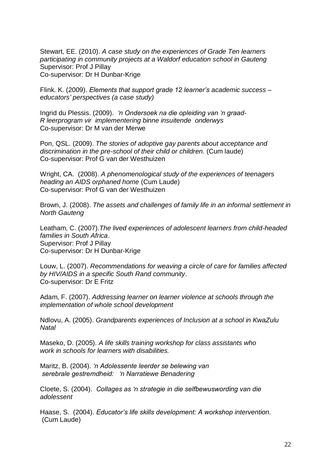Stewart, EE. (2010). *A case study on the experiences of Grade Ten learners participating in community projects at a Waldorf education school in Gauteng* Supervisor: Prof J Pillay Co-supervisor: Dr H Dunbar-Krige

Flink. K. (2009). *Elements that support grade 12 learner's academic success – educators' perspectives (a case study)*

Ingrid du Plessis. (2009). *'n Ondersoek na die opleiding van 'n graad-R leerprogram vir implementering binne insuitende onderwys* Co-supervisor: Dr M van der Merwe

Pon, QSL. (2009). *The stories of adoptive gay parents about acceptance and discrimination in the pre-school of their child or children.* (Cum laude) Co-supervisor: Prof G van der Westhuizen

Wright, CA. (2008). *A phenomenological study of the experiences of teenagers heading an AIDS orphaned home* (Cum Laude) Co-supervisor: Prof G van der Westhuizen

Brown, J. (2008). *The assets and challenges of family life in an informal settlement in North Gauteng*

Leatham, C. (2007).*The lived experiences of adolescent learners from child-headed families in South Africa*. Supervisor: Prof J Pillay Co-supervisor: Dr H Dunbar-Krige

Louw, L. (2007). *Recommendations for weaving a circle of care for families affected by HIV/AIDS in a specific South Rand community*. Co-supervisor: Dr E Fritz

Adam, F. (2007). *Addressing learner on learner violence at schools through the implementation of whole school development*

Ndlovu, A. (2005). *Grandparents experiences of Inclusion at a school in KwaZulu Natal*

Maseko, D. (2005). *A life skills training workshop for class assistants who work in schools for learners with disabilities.*

Maritz, B. (2004). *'n Adolessente leerder se belewing van serebrale gestremdheid: 'n Narratiewe Benadering*

Cloete, S. (2004). *Collages as 'n strategie in die selfbewuswording van die adolessent*

Haase, S. (2004). *Educator's life skills development: A workshop intervention.* (Cum Laude)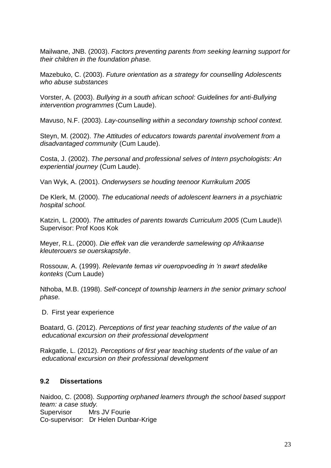Mailwane, JNB. (2003). *Factors preventing parents from seeking learning support for their children in the foundation phase.*

Mazebuko, C. (2003). *Future orientation as a strategy for counselling Adolescents who abuse substances*

Vorster, A. (2003). *Bullying in a south african school: Guidelines for anti-Bullying intervention programmes* (Cum Laude).

Mavuso, N.F. (2003). *Lay-counselling within a secondary township school context.*

Steyn, M. (2002). *The Attitudes of educators towards parental involvement from a disadvantaged community* (Cum Laude).

Costa, J. (2002). *The personal and professional selves of Intern psychologists: An experiential journey* (Cum Laude).

Van Wyk, A. (2001). *Onderwysers se houding teenoor Kurrikulum 2005* 

De Klerk, M. (2000). *The educational needs of adolescent learners in a psychiatric hospital school.*

Katzin, L. (2000). *The attitudes of parents towards Curriculum 2005* (Cum Laude)\ Supervisor: Prof Koos Kok

Meyer, R.L. (2000). *Die effek van die veranderde samelewing op Afrikaanse kleuterouers se ouerskapstyle*.

Rossouw, A. (1999). *Relevante temas vir oueropvoeding in 'n swart stedelike konteks* (Cum Laude)

Nthoba, M.B. (1998). *Self-concept of township learners in the senior primary school phase.*

D. First year experience

Boatard, G. (2012). *Perceptions of first year teaching students of the value of an educational excursion on their professional development*

Rakgatle, L. (2012). *Perceptions of first year teaching students of the value of an educational excursion on their professional development*

# **9.2 Dissertations**

Naidoo, C. (2008). *Supporting orphaned learners through the school based support team: a case study.*  Supervisor Mrs JV Fourie Co-supervisor: Dr Helen Dunbar-Krige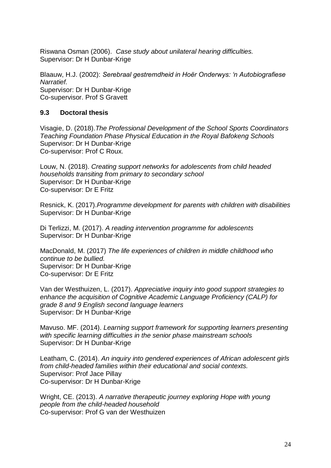Riswana Osman (2006). *Case study about unilateral hearing difficulties.* Supervisor: Dr H Dunbar-Krige

Blaauw, H.J. (2002): *Serebraal gestremdheid in Hoër Onderwys: 'n Autobiografiese Narratief.* Supervisor: Dr H Dunbar-Krige Co-supervisor. Prof S Gravett

## **9.3 Doctoral thesis**

Visagie, D. (2018).*The Professional Development of the School Sports Coordinators Teaching Foundation Phase Physical Education in the Royal Bafokeng Schools* Supervisor: Dr H Dunbar-Krige Co-supervisor: Prof C Roux.

Louw, N. (2018). *Creating support networks for adolescents from child headed households transiting from primary to secondary school* Supervisor: Dr H Dunbar-Krige Co-supervisor: Dr E Fritz

Resnick, K. (2017).*Programme development for parents with children with disabilities* Supervisor: Dr H Dunbar-Krige

Di Terlizzi, M. (2017). *A reading intervention programme for adolescents*  Supervisor: Dr H Dunbar-Krige

MacDonald, M. (2017) *The life experiences of children in middle childhood who continue to be bullied.* Supervisor: Dr H Dunbar-Krige Co-supervisor: Dr E Fritz

Van der Westhuizen, L. (2017). *Appreciative inquiry into good support strategies to enhance the acquisition of Cognitive Academic Language Proficiency (CALP) for grade 8 and 9 English second language learners* Supervisor: Dr H Dunbar-Krige

Mavuso. MF. (2014). *Learning support framework for supporting learners presenting with specific learning difficulties in the senior phase mainstream schools* Supervisor: Dr H Dunbar-Krige

Leatham, C. (2014). *An inquiry into gendered experiences of African adolescent girls from child-headed families within their educational and social contexts.* Supervisor: Prof Jace Pillay Co-supervisor: Dr H Dunbar-Krige

Wright, CE. (2013). *A narrative therapeutic journey exploring Hope with young people from the child-headed household* Co-supervisor: Prof G van der Westhuizen